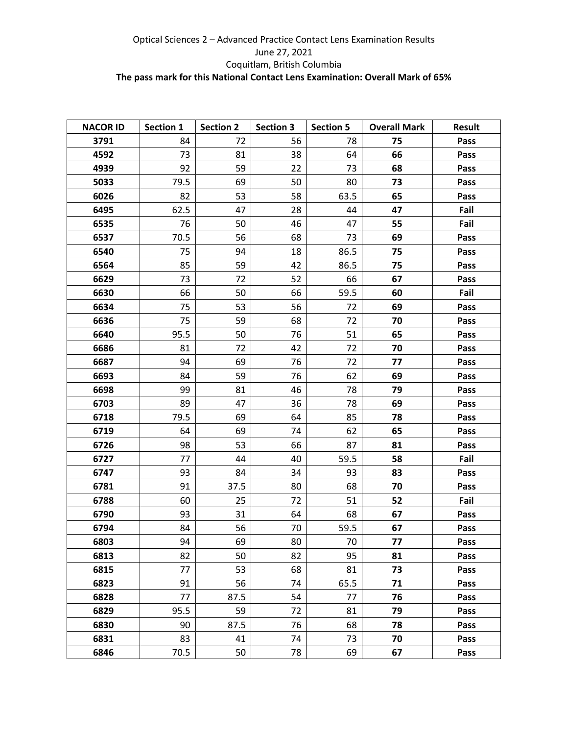## Optical Sciences 2 – Advanced Practice Contact Lens Examination Results June 27, 2021 Coquitlam, British Columbia **The pass mark for this National Contact Lens Examination: Overall Mark of 65%**

| <b>NACOR ID</b> | Section 1 | <b>Section 2</b> | <b>Section 3</b> | <b>Section 5</b> | <b>Overall Mark</b> | <b>Result</b> |
|-----------------|-----------|------------------|------------------|------------------|---------------------|---------------|
| 3791            | 84        | 72               | 56               | 78               | 75                  | Pass          |
| 4592            | 73        | 81               | 38               | 64               | 66                  | Pass          |
| 4939            | 92        | 59               | 22               | 73               | 68                  | Pass          |
| 5033            | 79.5      | 69               | 50               | 80               | 73                  | Pass          |
| 6026            | 82        | 53               | 58               | 63.5             | 65                  | Pass          |
| 6495            | 62.5      | 47               | 28               | 44               | 47                  | Fail          |
| 6535            | 76        | 50               | 46               | 47               | 55                  | Fail          |
| 6537            | 70.5      | 56               | 68               | 73               | 69                  | Pass          |
| 6540            | 75        | 94               | 18               | 86.5             | 75                  | Pass          |
| 6564            | 85        | 59               | 42               | 86.5             | 75                  | Pass          |
| 6629            | 73        | 72               | 52               | 66               | 67                  | Pass          |
| 6630            | 66        | 50               | 66               | 59.5             | 60                  | Fail          |
| 6634            | 75        | 53               | 56               | 72               | 69                  | Pass          |
| 6636            | 75        | 59               | 68               | 72               | 70                  | Pass          |
| 6640            | 95.5      | 50               | 76               | 51               | 65                  | Pass          |
| 6686            | 81        | 72               | 42               | 72               | 70                  | Pass          |
| 6687            | 94        | 69               | 76               | 72               | 77                  | Pass          |
| 6693            | 84        | 59               | 76               | 62               | 69                  | Pass          |
| 6698            | 99        | 81               | 46               | 78               | 79                  | Pass          |
| 6703            | 89        | 47               | 36               | 78               | 69                  | Pass          |
| 6718            | 79.5      | 69               | 64               | 85               | 78                  | Pass          |
| 6719            | 64        | 69               | 74               | 62               | 65                  | Pass          |
| 6726            | 98        | 53               | 66               | 87               | 81                  | Pass          |
| 6727            | 77        | 44               | 40               | 59.5             | 58                  | Fail          |
| 6747            | 93        | 84               | 34               | 93               | 83                  | Pass          |
| 6781            | 91        | 37.5             | 80               | 68               | 70                  | Pass          |
| 6788            | 60        | 25               | 72               | 51               | 52                  | Fail          |
| 6790            | 93        | 31               | 64               | 68               | 67                  | Pass          |
| 6794            | 84        | 56               | 70               | 59.5             | 67                  | Pass          |
| 6803            | 94        | 69               | 80               | 70               | 77                  | Pass          |
| 6813            | 82        | 50               | 82               | 95               | 81                  | Pass          |
| 6815            | 77        | 53               | 68               | 81               | 73                  | Pass          |
| 6823            | 91        | 56               | 74               | 65.5             | 71                  | Pass          |
| 6828            | 77        | 87.5             | 54               | 77               | 76                  | Pass          |
| 6829            | 95.5      | 59               | 72               | 81               | 79                  | Pass          |
| 6830            | 90        | 87.5             | 76               | 68               | 78                  | Pass          |
| 6831            | 83        | 41               | 74               | 73               | 70                  | Pass          |
| 6846            | 70.5      | 50               | 78               | 69               | 67                  | Pass          |